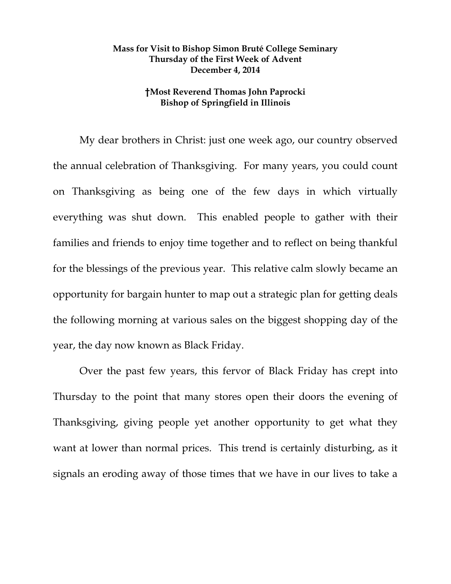## **Mass for Visit to Bishop Simon Bruté College Seminary Thursday of the First Week of Advent December 4, 2014**

## **†Most Reverend Thomas John Paprocki Bishop of Springfield in Illinois**

My dear brothers in Christ: just one week ago, our country observed the annual celebration of Thanksgiving. For many years, you could count on Thanksgiving as being one of the few days in which virtually everything was shut down. This enabled people to gather with their families and friends to enjoy time together and to reflect on being thankful for the blessings of the previous year. This relative calm slowly became an opportunity for bargain hunter to map out a strategic plan for getting deals the following morning at various sales on the biggest shopping day of the year, the day now known as Black Friday.

Over the past few years, this fervor of Black Friday has crept into Thursday to the point that many stores open their doors the evening of Thanksgiving, giving people yet another opportunity to get what they want at lower than normal prices. This trend is certainly disturbing, as it signals an eroding away of those times that we have in our lives to take a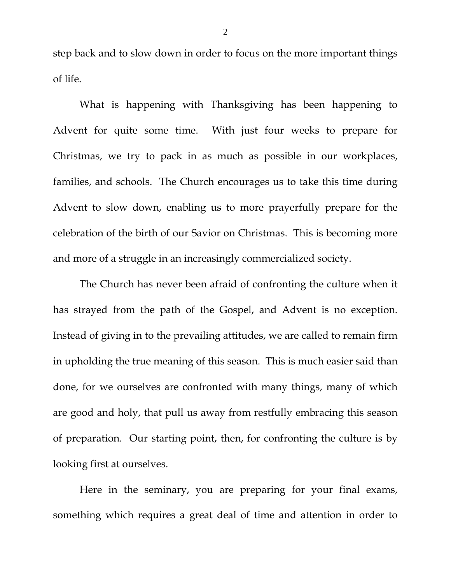step back and to slow down in order to focus on the more important things of life.

What is happening with Thanksgiving has been happening to Advent for quite some time. With just four weeks to prepare for Christmas, we try to pack in as much as possible in our workplaces, families, and schools. The Church encourages us to take this time during Advent to slow down, enabling us to more prayerfully prepare for the celebration of the birth of our Savior on Christmas. This is becoming more and more of a struggle in an increasingly commercialized society.

The Church has never been afraid of confronting the culture when it has strayed from the path of the Gospel, and Advent is no exception. Instead of giving in to the prevailing attitudes, we are called to remain firm in upholding the true meaning of this season. This is much easier said than done, for we ourselves are confronted with many things, many of which are good and holy, that pull us away from restfully embracing this season of preparation. Our starting point, then, for confronting the culture is by looking first at ourselves.

Here in the seminary, you are preparing for your final exams, something which requires a great deal of time and attention in order to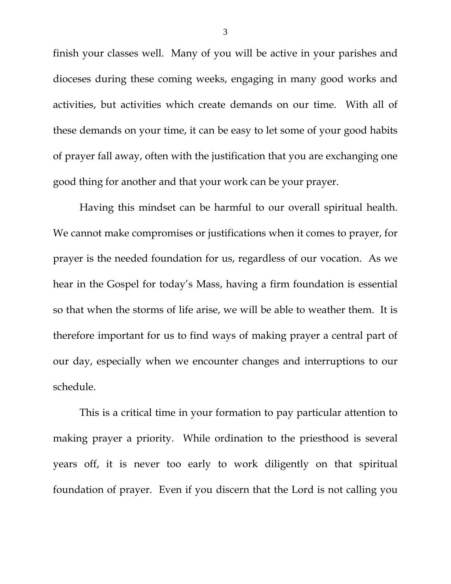finish your classes well. Many of you will be active in your parishes and dioceses during these coming weeks, engaging in many good works and activities, but activities which create demands on our time. With all of these demands on your time, it can be easy to let some of your good habits of prayer fall away, often with the justification that you are exchanging one good thing for another and that your work can be your prayer.

Having this mindset can be harmful to our overall spiritual health. We cannot make compromises or justifications when it comes to prayer, for prayer is the needed foundation for us, regardless of our vocation. As we hear in the Gospel for today's Mass, having a firm foundation is essential so that when the storms of life arise, we will be able to weather them. It is therefore important for us to find ways of making prayer a central part of our day, especially when we encounter changes and interruptions to our schedule.

This is a critical time in your formation to pay particular attention to making prayer a priority. While ordination to the priesthood is several years off, it is never too early to work diligently on that spiritual foundation of prayer. Even if you discern that the Lord is not calling you

3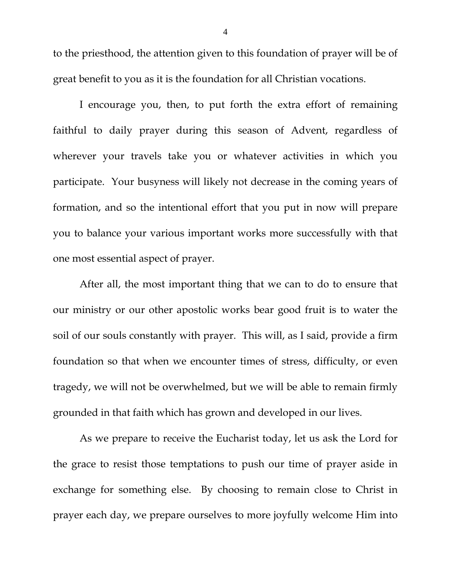to the priesthood, the attention given to this foundation of prayer will be of great benefit to you as it is the foundation for all Christian vocations.

I encourage you, then, to put forth the extra effort of remaining faithful to daily prayer during this season of Advent, regardless of wherever your travels take you or whatever activities in which you participate. Your busyness will likely not decrease in the coming years of formation, and so the intentional effort that you put in now will prepare you to balance your various important works more successfully with that one most essential aspect of prayer.

After all, the most important thing that we can to do to ensure that our ministry or our other apostolic works bear good fruit is to water the soil of our souls constantly with prayer. This will, as I said, provide a firm foundation so that when we encounter times of stress, difficulty, or even tragedy, we will not be overwhelmed, but we will be able to remain firmly grounded in that faith which has grown and developed in our lives.

As we prepare to receive the Eucharist today, let us ask the Lord for the grace to resist those temptations to push our time of prayer aside in exchange for something else. By choosing to remain close to Christ in prayer each day, we prepare ourselves to more joyfully welcome Him into